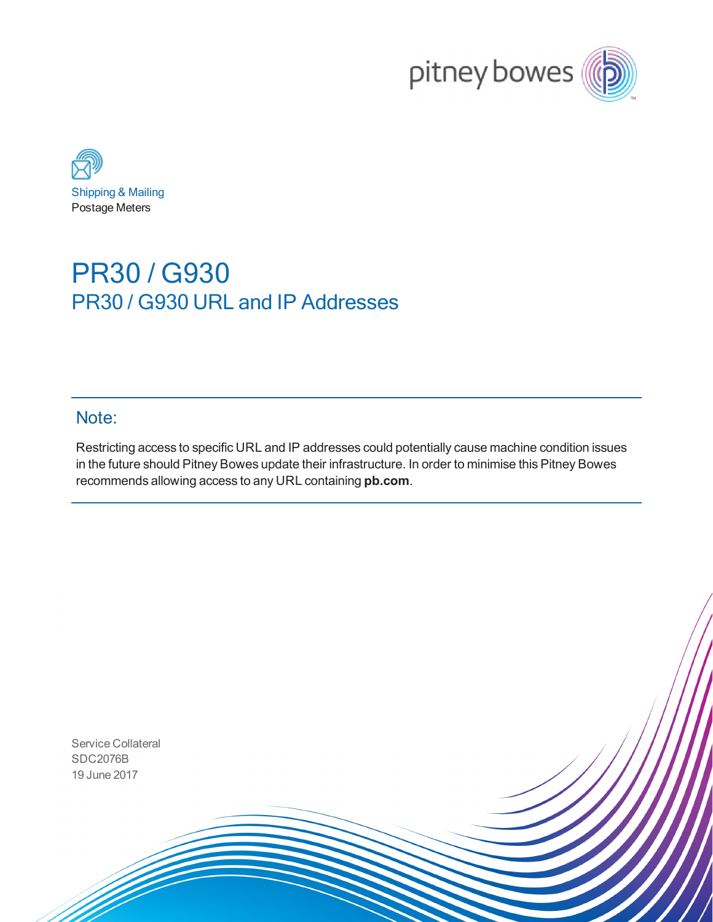



## PR30 / G930 PR30 / G930 URL and IP Addresses

## Note:

Restricting access to specific URL and IP addresses could potentially cause machine condition issues in the future should Pitney Bowes update their infrastructure. In order to minimise this Pitney Bowes recommends allowing access to any URL containing **pb.com**.

Service Collateral SDC2076B 19 June 2017